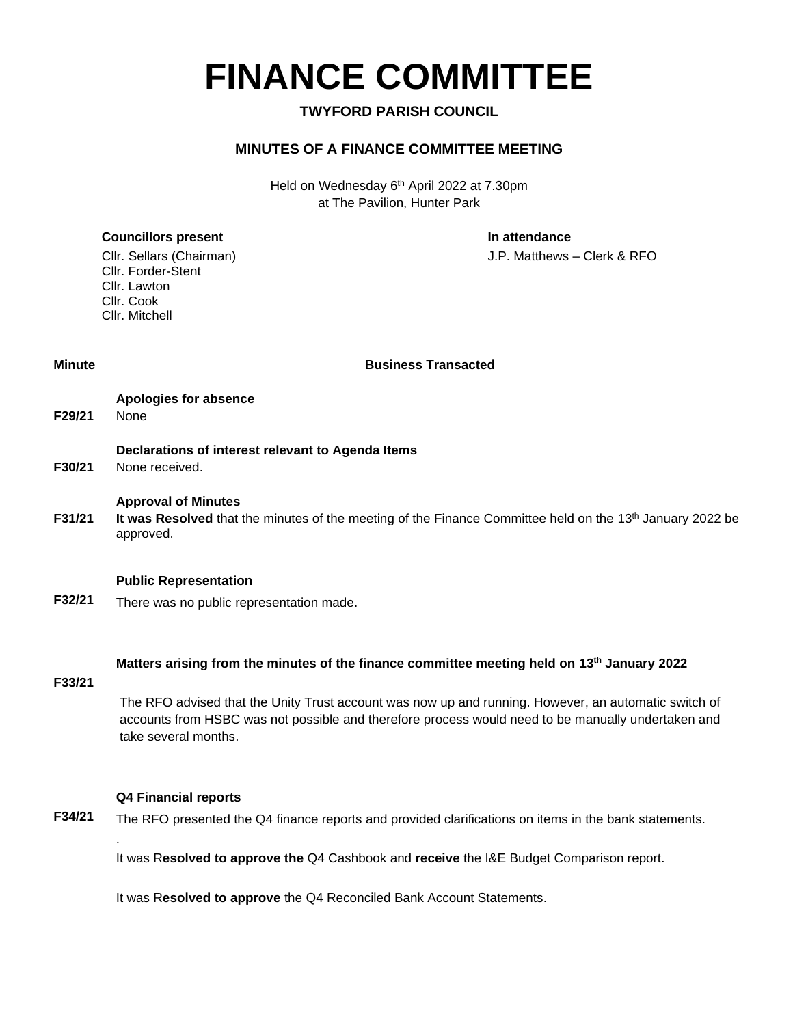# **FINANCE COMMITTEE**

#### **TWYFORD PARISH COUNCIL**

#### **MINUTES OF A FINANCE COMMITTEE MEETING**

Held on Wednesday 6<sup>th</sup> April 2022 at 7.30pm at The Pavilion, Hunter Park

#### **Councillors present In attendance**

Cllr. Sellars (Chairman) J.P. Matthews – Clerk & RFO

Cllr. Forder-Stent Cllr. Lawton Cllr. Cook Cllr. Mitchell

**Minute Business Transacted**

| <b>Apologies for</b> |  |
|----------------------|--|
|                      |  |

**F29/21** None

#### **Declarations of interest relevant to Agenda Items**

**Apologies for absence**

**F30/21** None received.

#### **Approval of Minutes**

**F31/21** It was Resolved that the minutes of the meeting of the Finance Committee held on the 13th January 2022 be approved.

#### **Public Representation**

**F32/21** There was no public representation made.

#### **Matters arising from the minutes of the finance committee meeting held on 13th January 2022**

#### **F33/21**

The RFO advised that the Unity Trust account was now up and running. However, an automatic switch of accounts from HSBC was not possible and therefore process would need to be manually undertaken and take several months.

#### **Q4 Financial reports**

.

**F34/21** The RFO presented the Q4 finance reports and provided clarifications on items in the bank statements.

It was R**esolved to approve the** Q4 Cashbook and **receive** the I&E Budget Comparison report.

It was R**esolved to approve** the Q4 Reconciled Bank Account Statements.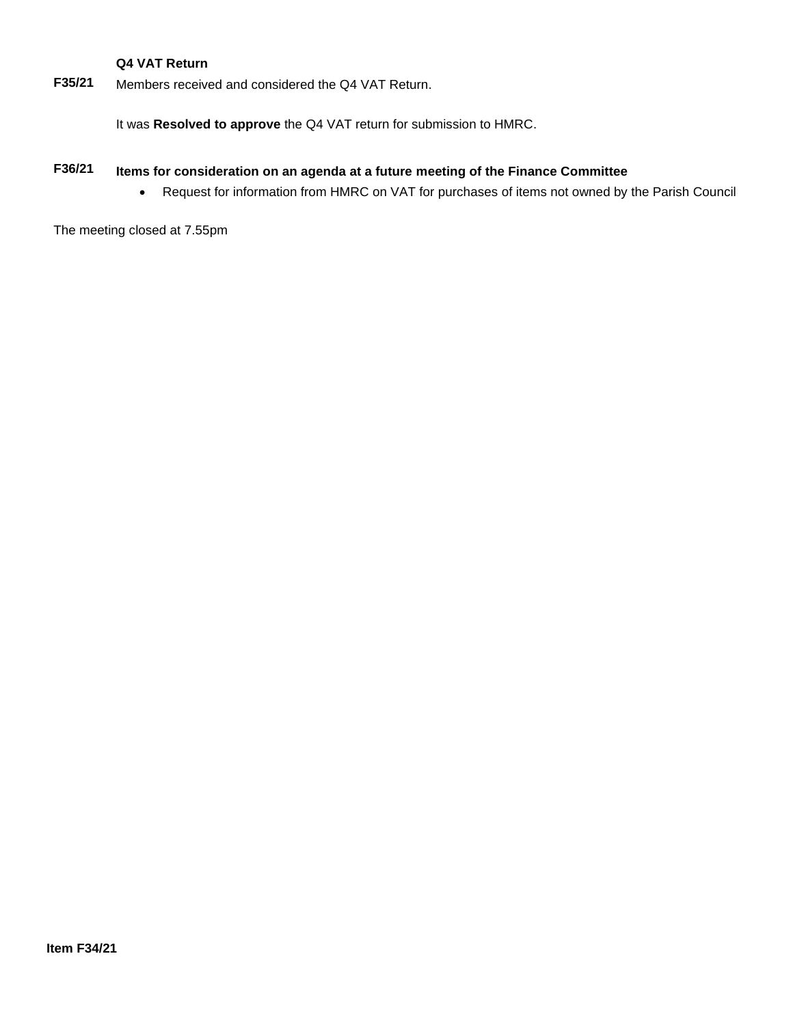#### **Q4 VAT Return**

**F35/21** Members received and considered the Q4 VAT Return.

It was **Resolved to approve** the Q4 VAT return for submission to HMRC.

### **F36/21 Items for consideration on an agenda at a future meeting of the Finance Committee**

• Request for information from HMRC on VAT for purchases of items not owned by the Parish Council

The meeting closed at 7.55pm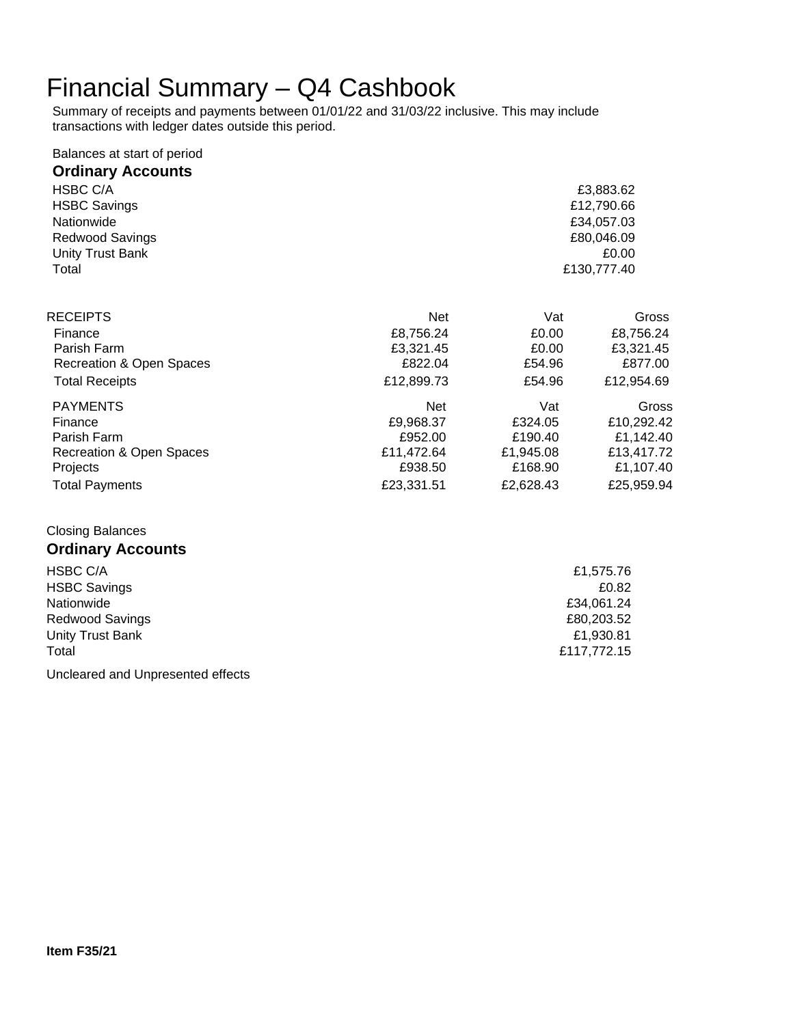## Financial Summary – Q4 Cashbook

Summary of receipts and payments between 01/01/22 and 31/03/22 inclusive. This may include transactions with ledger dates outside this period.

| Balances at start of period |                      |                 |                      |
|-----------------------------|----------------------|-----------------|----------------------|
| <b>Ordinary Accounts</b>    |                      |                 |                      |
| HSBC C/A                    |                      |                 | £3,883.62            |
| <b>HSBC Savings</b>         |                      |                 | £12,790.66           |
| Nationwide                  |                      |                 | £34,057.03           |
| Redwood Savings             |                      |                 | £80,046.09           |
| Unity Trust Bank            |                      |                 | £0.00                |
| Total                       |                      | £130,777.40     |                      |
|                             |                      |                 |                      |
| <b>RECEIPTS</b>             | <b>Net</b>           | Vat             | Gross                |
| Finance<br>Parish Farm      | £8,756.24            | £0.00           | £8,756.24            |
| Recreation & Open Spaces    | £3,321.45<br>£822.04 | £0.00<br>£54.96 | £3,321.45<br>£877.00 |
| <b>Total Receipts</b>       | £12,899.73           | £54.96          | £12,954.69           |
|                             |                      |                 |                      |
| <b>PAYMENTS</b>             | <b>Net</b>           | Vat             | Gross                |
| Finance                     | £9,968.37            | £324.05         | £10,292.42           |
| Parish Farm                 | £952.00              | £190.40         | £1,142.40            |
| Recreation & Open Spaces    | £11,472.64           | £1,945.08       | £13,417.72           |
| Projects                    | £938.50              | £168.90         | £1,107.40            |
| <b>Total Payments</b>       | £23,331.51           | £2,628.43       | £25,959.94           |
| <b>Closing Balances</b>     |                      |                 |                      |
| <b>Ordinary Accounts</b>    |                      |                 |                      |

| HSBC C/A            | £1,575.76   |
|---------------------|-------------|
| <b>HSBC Savings</b> | £0.82       |
| Nationwide          | £34.061.24  |
| Redwood Savings     | £80,203.52  |
| Unity Trust Bank    | £1,930.81   |
| Total               | £117,772.15 |
|                     |             |

Uncleared and Unpresented effects